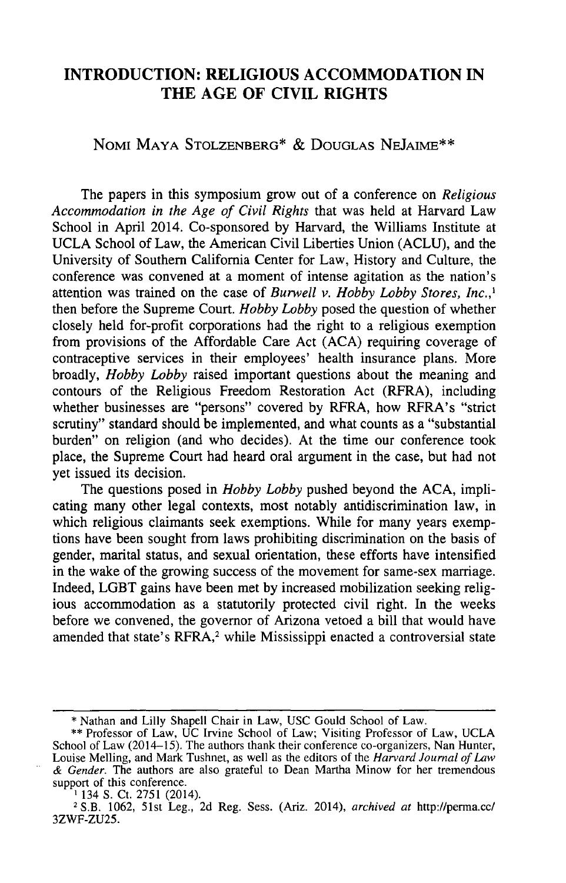## **INTRODUCTION: RELIGIOUS ACCOMMODATION IN THE AGE OF CIVIL RIGHTS**

## NOMI MAYA **STOLZENBERG\* & DOUGLAS NEJAIME\*\***

The papers in this symposium grow out of a conference on *Religious Accommodation in the Age of Civil Rights* that was held at Harvard Law School in April 2014. Co-sponsored by Harvard, the Williams Institute at UCLA School of Law, the American Civil Liberties Union (ACLU), and the University of Southern California Center for Law, History and Culture, the conference was convened at a moment of intense agitation as the nation's attention was trained on the case of *Burwell v. Hobby Lobby Stores, Inc.,'* then before the Supreme Court. *Hobby Lobby* posed the question of whether closely held for-profit corporations had the right to a religious exemption from provisions of the Affordable Care Act (ACA) requiring coverage of contraceptive services in their employees' health insurance plans. More broadly, *Hobby Lobby* raised important questions about the meaning and contours of the Religious Freedom Restoration Act (RFRA), including whether businesses are "persons" covered by RFRA, how RFRA's "strict scrutiny" standard should be implemented, and what counts as a "substantial burden" on religion (and who decides). At the time our conference took place, the Supreme Court had heard oral argument in the case, but had not yet issued its decision.

The questions posed in *Hobby Lobby* pushed beyond the ACA, implicating many other legal contexts, most notably antidiscrimination law, in which religious claimants seek exemptions. While for many years exemptions have been sought from laws prohibiting discrimination on the basis of gender, marital status, and sexual orientation, these efforts have intensified in the wake of the growing success of the movement for same-sex marriage. Indeed, LGBT gains have been met by increased mobilization seeking religious accommodation as a statutorily protected civil right. In the weeks before we convened, the governor of Arizona vetoed a bill that would have amended that state's RFRA,<sup>2</sup> while Mississippi enacted a controversial state

**<sup>\*</sup>** Nathan and Lilly Shapell Chair in Law, USC Gould School of Law.

**<sup>\*\*</sup>** Professor of Law, UC Irvine School of Law; Visiting Professor of Law, UCLA School of Law (2014-15). The authors thank their conference co-organizers, Nan Hunter, Louise Melling, and Mark Tushnet, as well as the editors of the *Harvard Journal of Law & Gender.* The authors are also grateful to Dean Martha Minow for her tremendous support of this conference.

<sup>&</sup>lt;sup>1</sup> 134 S. Ct. 2751 (2014).

**<sup>2</sup>** S.B. 1062, 51st Leg., 2d Reg. Sess. (Ariz. 2014), *archived at* http://perma.cc/ 3ZWF-ZU25.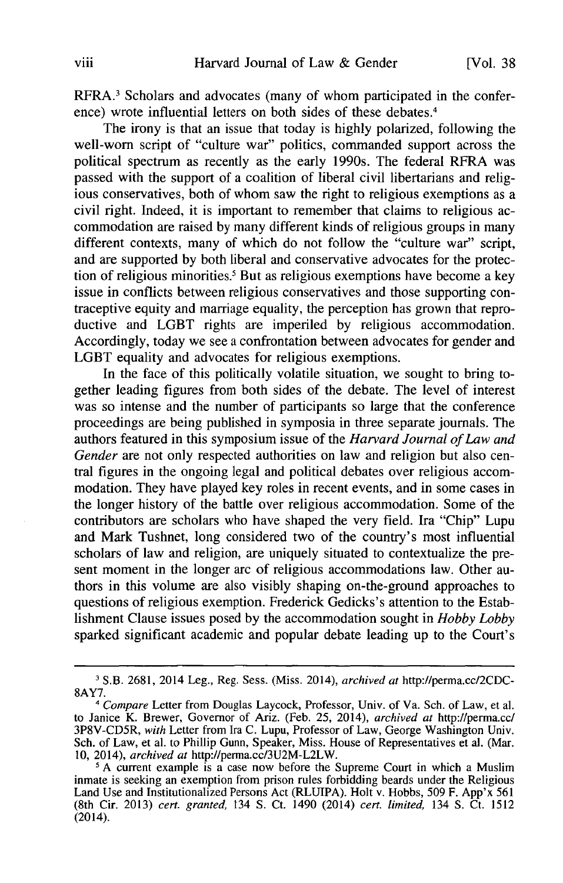RFRA.3 Scholars and advocates (many of whom participated in the conference) wrote influential letters on both sides of these debates.<sup>4</sup>

The irony is that an issue that today is highly polarized, following the well-worn script of "culture war" politics, commanded support across the political spectrum as recently as the early 1990s. The federal RFRA was passed with the support of a coalition of liberal civil libertarians and religious conservatives, both of whom saw the right to religious exemptions as a civil right. Indeed, it is important to remember that claims to religious accommodation are raised by many different kinds of religious groups in many different contexts, many of which do not follow the "culture war" script, and are supported by both liberal and conservative advocates for the protection of religious minorities.<sup>5</sup> But as religious exemptions have become a key issue in conflicts between religious conservatives and those supporting contraceptive equity and marriage equality, the perception has grown that reproductive and LGBT rights are imperiled by religious accommodation. Accordingly, today we see a confrontation between advocates for gender and LGBT equality and advocates for religious exemptions.

In the face of this politically volatile situation, we sought to bring together leading figures from both sides of the debate. The level of interest was so intense and the number of participants so large that the conference proceedings are being published in symposia in three separate journals. The authors featured in this symposium issue of the *Harvard Journal of Law and Gender* are not only respected authorities on law and religion but also central figures in the ongoing legal and political debates over religious accommodation. They have played key roles in recent events, and in some cases in the longer history of the battle over religious accommodation. Some of the contributors are scholars who have shaped the very field. Ira "Chip" Lupu and Mark Tushnet, long considered two of the country's most influential scholars of law and religion, are uniquely situated to contextualize the present moment in the longer arc of religious accommodations law. Other authors in this volume are also visibly shaping on-the-ground approaches to questions of religious exemption. Frederick Gedicks's attention to the Establishment Clause issues posed by the accommodation sought in *Hobby Lobby* sparked significant academic and popular debate leading up to the Court's

**I** S.B. 2681, 2014 Leg., Reg. Sess. (Miss. 2014), *archived at* http://perma.cc/2CDC-8AY7.

*<sup>4</sup> Compare* Letter from Douglas Laycock, Professor, Univ. of Va. Sch. of Law, et al. to Janice K. Brewer, Governor of Ariz. (Feb. 25, 2014), *archived at* http://perma.cc/ 3P8V-CD5R, *with* Letter from Ira C. Lupu, Professor of Law, George Washington Univ. Sch. of Law, et al. to Phillip Gunn, Speaker, Miss. House of Representatives et al. (Mar. 10, 2014), *archived at* http://perma.cc/3U2M-L2LW.

<sup>&</sup>lt;sup>5</sup> A current example is a case now before the Supreme Court in which a Muslim inmate is seeking an exemption from prison rules forbidding beards under the Religious Land Use and Institutionalized Persons Act (RLUIPA). Holt v. Hobbs, 509 F. App'x 561 (8th Cir. 2013) *cert. granted,* 134 **S.** Ct. 1490 (2014) *cert. limited,* 134 **S.** Ct. 1512  $(2014)$ .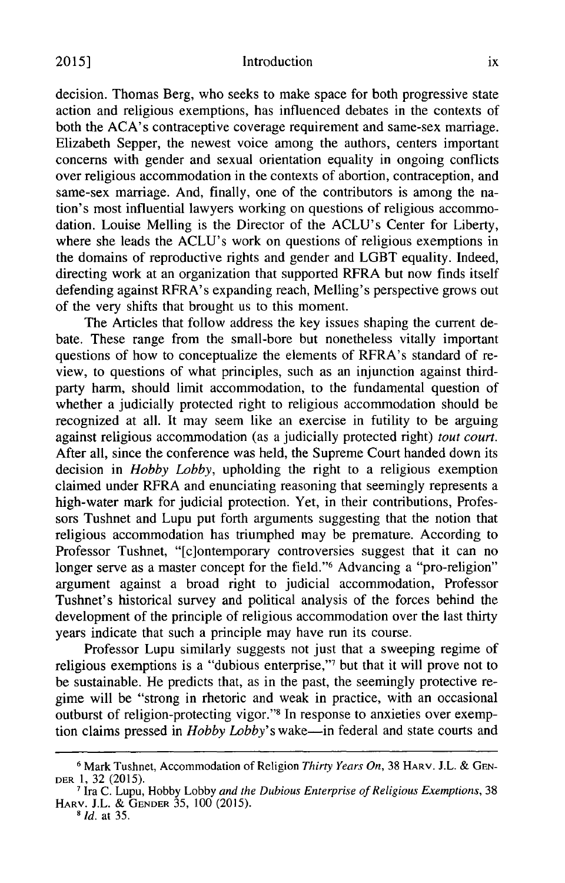decision. Thomas Berg, who seeks to make space for both progressive state action and religious exemptions, has influenced debates in the contexts of both the ACA's contraceptive coverage requirement and same-sex marriage. Elizabeth Sepper, the newest voice among the authors, centers important concerns with gender and sexual orientation equality in ongoing conflicts over religious accommodation in the contexts of abortion, contraception, and same-sex marriage. And, finally, one of the contributors is among the nation's most influential lawyers working on questions of religious accommodation. Louise Melling is the Director of the ACLU's Center for Liberty, where she leads the ACLU's work on questions of religious exemptions in the domains of reproductive rights and gender and LGBT equality. Indeed, directing work at an organization that supported RFRA but now finds itself defending against RFRA's expanding reach, Melling's perspective grows out of the very shifts that brought us to this moment.

The Articles that follow address the key issues shaping the current debate. These range from the small-bore but nonetheless vitally important questions of how to conceptualize the elements of RFRA's standard of review, to questions of what principles, such as an injunction against thirdparty harm, should limit accommodation, to the fundamental question of whether a judicially protected right to religious accommodation should be recognized at all. It may seem like an exercise in futility to be arguing against religious accommodation (as a judicially protected right) *tout court.* After all, since the conference was held, the Supreme Court handed down its decision in *Hobby Lobby,* upholding the right to a religious exemption claimed under RFRA and enunciating reasoning that seemingly represents a high-water mark for judicial protection. Yet, in their contributions, Professors Tushnet and Lupu put forth arguments suggesting that the notion that religious accommodation has triumphed may be premature. According to Professor Tushnet, "[c]ontemporary controversies suggest that it can no longer serve as a master concept for the field."<sup>6</sup> Advancing a "pro-religion" argument against a broad right to judicial accommodation, Professor Tushnet's historical survey and political analysis of the forces behind the development of the principle of religious accommodation over the last thirty years indicate that such a principle may have run its course.

Professor Lupu similarly suggests not just that a sweeping regime of religious exemptions is a "dubious enterprise,"7 but that it will prove not to be sustainable. He predicts that, as in the past, the seemingly protective regime will be "strong in rhetoric and weak in practice, with an occasional outburst of religion-protecting vigor."<sup>8</sup> In response to anxieties over exemption claims pressed in *Hobby Lobby's* wake-in federal and state courts and

**<sup>6</sup>** Mark Tushnet, Accommodation of Religion *Thirty Years On,* 38 HARV. **J.L.** & **GEN-**DER **1,** 32 (2015).

**<sup>7</sup>** Ira C. Lupu, Hobby Lobby *and the Dubious Enterprise of Religious Exemptions,* 38 HARV. **J.L. & GENDER** 35, 100 (2015).

**<sup>8</sup>** *Id.* **at 35.**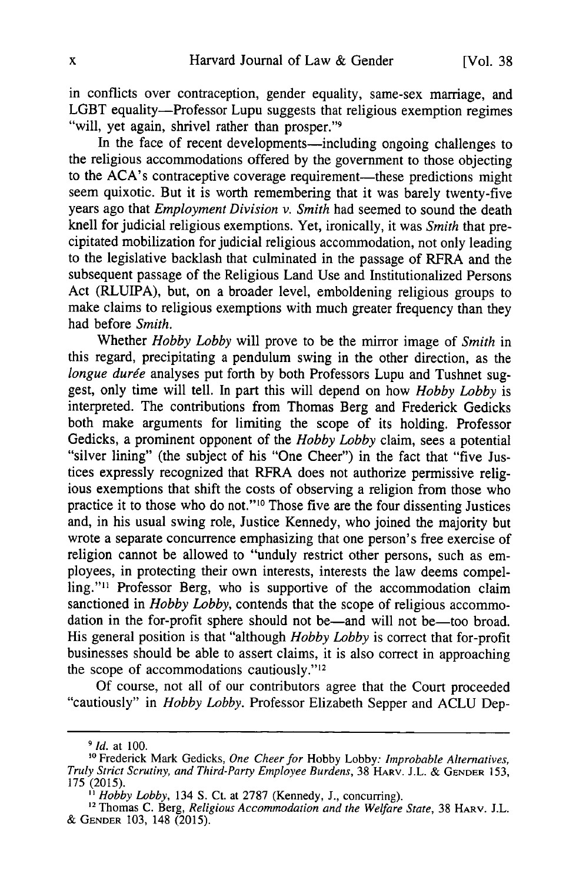in conflicts over contraception, gender equality, same-sex marriage, and LGBT equality-Professor Lupu suggests that religious exemption regimes "will, yet again, shrivel rather than prosper."9

In the face of recent developments—including ongoing challenges to the religious accommodations offered by the government to those objecting to the ACA's contraceptive coverage requirement—these predictions might seem quixotic. But it is worth remembering that it was barely twenty-five years ago that *Employment Division v. Smith* had seemed to sound the death knell for judicial religious exemptions. Yet, ironically, it was *Smith* that precipitated mobilization for judicial religious accommodation, not only leading to the legislative backlash that culminated in the passage of RFRA and the subsequent passage of the Religious Land Use and Institutionalized Persons Act (RLUIPA), but, on a broader level, emboldening religious groups to make claims to religious exemptions with much greater frequency than they had before *Smith.*

Whether *Hobby Lobby* will prove to be the mirror image of *Smith* in this regard, precipitating a pendulum swing in the other direction, as the *longue durée* analyses put forth by both Professors Lupu and Tushnet suggest, only time will tell. In part this will depend on how *Hobby Lobby* is interpreted. The contributions from Thomas Berg and Frederick Gedicks both make arguments for limiting the scope of its holding. Professor Gedicks, a prominent opponent of the *Hobby Lobby* claim, sees a potential "silver lining" (the subject of his "One Cheer") in the fact that "five Justices expressly recognized that RFRA does not authorize permissive religious exemptions that shift the costs of observing a religion from those who practice it to those who do not."<sup>10</sup> Those five are the four dissenting Justices and, in his usual swing role, Justice Kennedy, who joined the majority but wrote a separate concurrence emphasizing that one person's free exercise of religion cannot be allowed to "unduly restrict other persons, such as employees, in protecting their own interests, interests the law deems compelling."<sup>11</sup> Professor Berg, who is supportive of the accommodation claim sanctioned in *Hobby Lobby*, contends that the scope of religious accommodation in the for-profit sphere should not be—and will not be—too broad. His general position is that "although *Hobby Lobby* is correct that for-profit businesses should be able to assert claims, it is also correct in approaching the scope of accommodations cautiously."<sup>12</sup><br>Of course, not all of our contributors agree that the Court proceeded

"cautiously" in *Hobby Lobby*. Professor Elizabeth Sepper and ACLU Dep-

*<sup>9</sup> Id.* at 100.

**<sup>10</sup>** Frederick Mark Gedicks, *One Cheer for* Hobby Lobby: *Improbable Alternatives, Truly Strict Scrutiny, and Third-Party Employee Burdens,* 38 HARV. J.L. & **GENDER** 153, 175 (2015).

*<sup>&</sup>quot; Hobby Lobby,* 134 S. Ct. at 2787 (Kennedy, J., concurring).

<sup>&</sup>lt;sup>12</sup> Thomas C. Berg, *Religious Accommodation and the Welfare State*, 38 HARV. J.L. & **GENDER** 103, 148 (2015).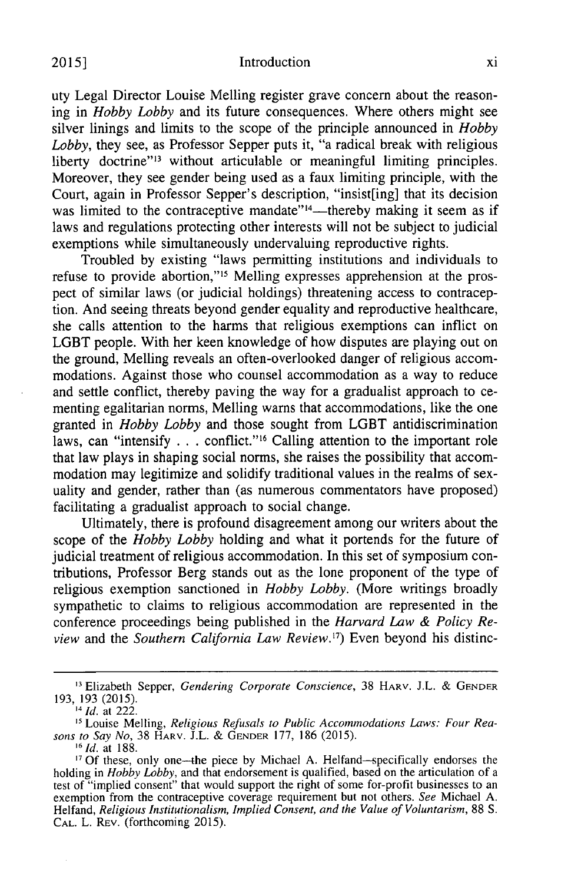uty Legal Director Louise Melling register grave concern about the reasoning in *Hobby Lobby* and its future consequences. Where others might see silver linings and limits to the scope of the principle announced in *Hobby Lobby,* they see, as Professor Sepper puts it, "a radical break with religious liberty doctrine"<sup>13</sup> without articulable or meaningful limiting principles. Moreover, they see gender being used as a faux limiting principle, with the Court, again in Professor Sepper's description, "insist[ing] that its decision was limited to the contraceptive mandate"<sup>14</sup>—thereby making it seem as if laws and regulations protecting other interests will not be subject to judicial exemptions while simultaneously undervaluing reproductive rights.

Troubled by existing "laws permitting institutions and individuals to refuse to provide abortion,"<sup>15</sup> Melling expresses apprehension at the prospect of similar laws (or judicial holdings) threatening access to contraception. And seeing threats beyond gender equality and reproductive healthcare, she calls attention to the harms that religious exemptions can inflict on LGBT people. With her keen knowledge of how disputes are playing out on the ground, Melling reveals an often-overlooked danger of religious accommodations. Against those who counsel accommodation as a way to reduce and settle conflict, thereby paving the way for a gradualist approach to cementing egalitarian norms, Melling warns that accommodations, like the one granted in *Hobby Lobby* and those sought from LGBT antidiscrimination laws, can "intensify . . . conflict."'6 Calling attention to the important role that law plays in shaping social norms, she raises the possibility that accommodation may legitimize and solidify traditional values in the realms of sexuality and gender, rather than (as numerous commentators have proposed) facilitating a gradualist approach to social change.

Ultimately, there is profound disagreement among our writers about the scope of the *Hobby Lobby* holding and what it portends for the future of judicial treatment of religious accommodation. In this set of symposium contributions, Professor Berg stands out as the lone proponent of the type of religious exemption sanctioned in *Hobby Lobby.* (More writings broadly sympathetic to claims to religious accommodation are represented in the conference proceedings being published in the *Harvard Law & Policy Review* and the *Southern California Law Review. <sup>7</sup> )* Even beyond his distinc-

**<sup>&</sup>quot;3** Elizabeth Sepper, *Gendering Corporate Conscience,* 38 **HARV.** J.L. & **GENDER** 193, 193 (2015).

<sup>&#</sup>x27;4 *Id.* at 222.

**<sup>11</sup>** Louise Melling, *Religious Refusals to Public Accommodations Laws: Four Reasons to Say No,* 38 HARV. J.L. & **GENDER** 177, 186 (2015). *'6*

*1d.* at 188.

<sup>&</sup>lt;sup>17</sup> Of these, only one--the piece by Michael A. Helfand-specifically endorses the holding in *Hobby Lobby,* and that endorsement is qualified, based on the articulation of a test of "implied consent" that would support the right of some for-profit businesses to an exemption from the contraceptive coverage requirement but not others. *See* Michael A. Helfand, *Religious Institutionalism, Implied Consent, and the Value of Voluntarism,* 88 S. **CAL.** L. REV. (forthcoming 2015).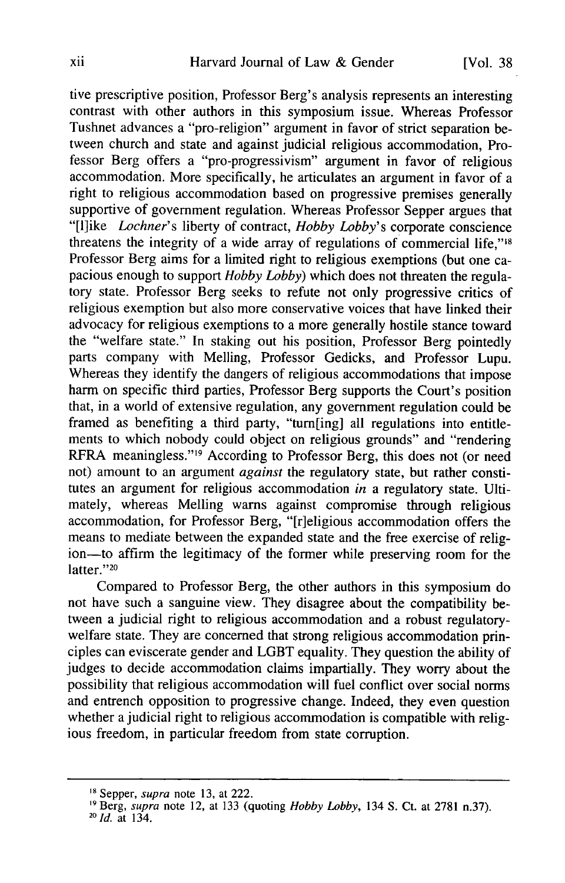tive prescriptive position, Professor Berg's analysis represents an interesting contrast with other authors in this symposium issue. Whereas Professor Tushnet advances a "pro-religion" argument in favor of strict separation between church and state and against judicial religious accommodation, Professor Berg offers a "pro-progressivism" argument in favor of religious accommodation. More specifically, he articulates an argument in favor of a right to religious accommodation based on progressive premises generally supportive of government regulation. Whereas Professor Sepper argues that "[l]ike *Lochner's* liberty of contract, *Hobby Lobby's* corporate conscience threatens the integrity of a wide array of regulations of commercial life," $18$ Professor Berg aims for a limited right to religious exemptions (but one capacious enough to support *Hobby Lobby)* which does not threaten the regulatory state. Professor Berg seeks to refute not only progressive critics of religious exemption but also more conservative voices that have linked their advocacy for religious exemptions to a more generally hostile stance toward the "welfare state." In staking out his position, Professor Berg pointedly parts company with Melling, Professor Gedicks, and Professor Lupu. Whereas they identify the dangers of religious accommodations that impose harm on specific third parties, Professor Berg supports the Court's position that, in a world of extensive regulation, any government regulation could be framed as benefiting a third party, "tum[ing] all regulations into entitlements to which nobody could object on religious grounds" and "rendering RFRA meaningless."<sup>19</sup> According to Professor Berg, this does not (or need not) amount to an argument *against* the regulatory state, but rather constitutes an argument for religious accommodation *in* a regulatory state. Ultimately, whereas Melling warns against compromise through religious accommodation, for Professor Berg, "[r]eligious accommodation offers the means to mediate between the expanded state and the free exercise of religion—to affirm the legitimacy of the former while preserving room for the latter."20

Compared to Professor Berg, the other authors in this symposium do not have such a sanguine view. They disagree about the compatibility between a judicial right to religious accommodation and a robust regulatorywelfare state. They are concerned that strong religious accommodation principles can eviscerate gender and LGBT equality. They question the ability of judges to decide accommodation claims impartially. They worry about the possibility that religious accommodation will fuel conflict over social norms and entrench opposition to progressive change. Indeed, they even question whether a judicial right to religious accommodation is compatible with religious freedom, in particular freedom from state corruption.

**<sup>18</sup>**Sepper, supra note 13, at 222.

<sup>,9</sup> Berg, supra note 12, at 133 (quoting *Hobby Lobby,* 134 S. Ct. at 2781 n.37). *<sup>20</sup> Id.* at 134.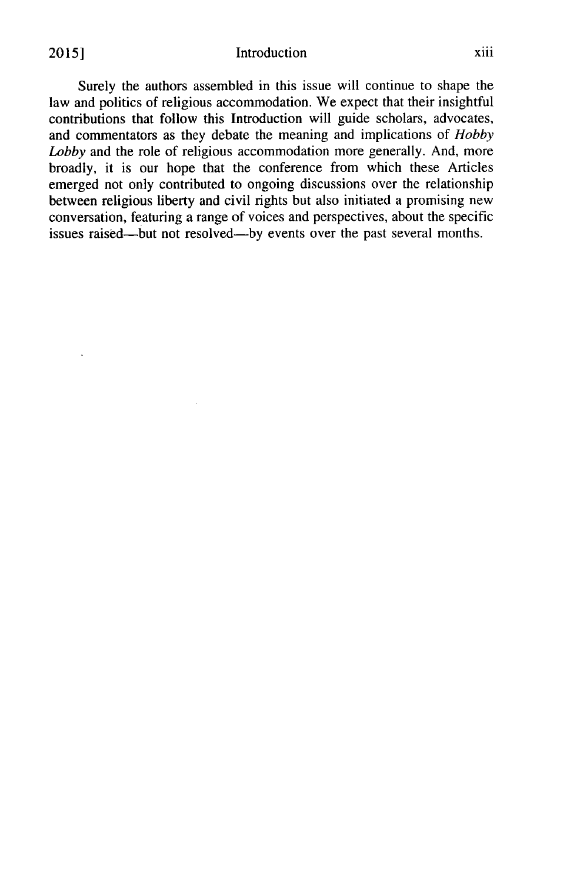Surely the authors assembled in this issue will continue to shape the law and politics of religious accommodation. We expect that their insightful contributions that follow this Introduction will guide scholars, advocates, and commentators as they debate the meaning and implications of *Hobby Lobby* and the role of religious accommodation more generally. And, more broadly, it is our hope that the conference from which these Articles emerged not only contributed to ongoing discussions over the relationship between religious liberty and civil rights but also initiated a promising new conversation, featuring a range of voices and perspectives, about the specific issues raised—but not resolved—by events over the past several months.